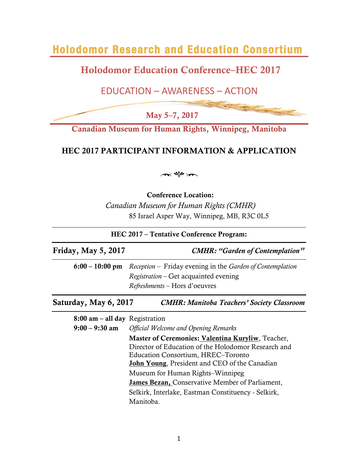**Holodomor Research and Education Consortium** 

# Holodomor Education Conference–HEC 2017

## EDUCATION – AWARENESS – ACTION

May 5–7, 2017

Canadian Museum for Human Rights, Winnipeg, Manitoba

## HEC 2017 PARTICIPANT INFORMATION & APPLICATION

 $\sim$ 

Conference Location:

*Canadian Museum for Human Rights (CMHR)* 85 Israel Asper Way, Winnipeg, MB, R3C 0L5

| HEC 2017 – Tentative Conference Program: |                                                                                                                                                                                                        |  |  |  |
|------------------------------------------|--------------------------------------------------------------------------------------------------------------------------------------------------------------------------------------------------------|--|--|--|
| Friday, May 5, 2017                      | <b>CMHR: "Garden of Contemplation"</b>                                                                                                                                                                 |  |  |  |
|                                          | $6:00 - 10:00$ pm Reception – Friday evening in the <i>Garden of Contemplation</i><br><i>Registration</i> – Get acquainted evening<br><i>Refreshments</i> – Hors d'oeuvres                             |  |  |  |
| Saturday, May 6, 2017                    | <b>CMHR: Manitoba Teachers' Society Classroom</b>                                                                                                                                                      |  |  |  |
| $8:00$ am – all day Registration         |                                                                                                                                                                                                        |  |  |  |
| $9:00 - 9:30$ am                         | <b>Official Welcome and Opening Remarks</b>                                                                                                                                                            |  |  |  |
|                                          | Master of Ceremonies: Valentina Kuryliw, Teacher,<br>Director of Education of the Holodomor Research and<br>Education Consortium, HREC-Toronto<br><b>John Young, President and CEO of the Canadian</b> |  |  |  |
|                                          | Museum for Human Rights–Winnipeg                                                                                                                                                                       |  |  |  |
|                                          | <b>James Bezan, Conservative Member of Parliament,</b>                                                                                                                                                 |  |  |  |
|                                          | Selkirk, Interlake, Eastman Constituency - Selkirk,                                                                                                                                                    |  |  |  |
|                                          | Manitoba.                                                                                                                                                                                              |  |  |  |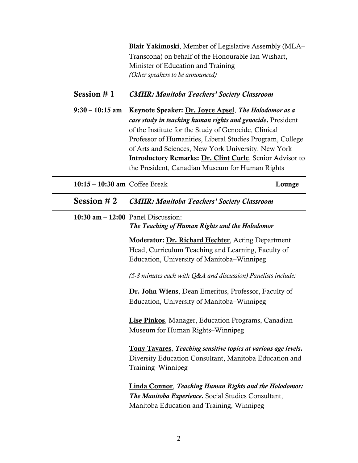|                                 | Blair Yakimoski, Member of Legislative Assembly (MLA-<br>Transcona) on behalf of the Honourable Ian Wishart,<br>Minister of Education and Training<br>(Other speakers to be announced)                                                                                                                                                                                                                         |        |  |  |  |
|---------------------------------|----------------------------------------------------------------------------------------------------------------------------------------------------------------------------------------------------------------------------------------------------------------------------------------------------------------------------------------------------------------------------------------------------------------|--------|--|--|--|
| Session $# 1$                   | <b>CMHR: Manitoba Teachers' Society Classroom</b>                                                                                                                                                                                                                                                                                                                                                              |        |  |  |  |
| $9:30 - 10:15$ am               | Keynote Speaker: Dr. Joyce Apsel, The Holodomor as a<br>case study in teaching human rights and genocide. President<br>of the Institute for the Study of Genocide, Clinical<br>Professor of Humanities, Liberal Studies Program, College<br>of Arts and Sciences, New York University, New York<br>Introductory Remarks: Dr. Clint Curle, Senior Advisor to<br>the President, Canadian Museum for Human Rights |        |  |  |  |
| $10:15 - 10:30$ am Coffee Break |                                                                                                                                                                                                                                                                                                                                                                                                                | Lounge |  |  |  |
| Session $#2$                    | <b>CMHR: Manitoba Teachers' Society Classroom</b>                                                                                                                                                                                                                                                                                                                                                              |        |  |  |  |
|                                 | 10:30 $am - 12:00$ Panel Discussion:<br>The Teaching of Human Rights and the Holodomor                                                                                                                                                                                                                                                                                                                         |        |  |  |  |
|                                 | <b>Moderator: Dr. Richard Hechter, Acting Department</b><br>Head, Curriculum Teaching and Learning, Faculty of<br>Education, University of Manitoba-Winnipeg                                                                                                                                                                                                                                                   |        |  |  |  |
|                                 | $(5-8$ minutes each with Q&A and discussion) Panelists include:                                                                                                                                                                                                                                                                                                                                                |        |  |  |  |
|                                 | Dr. John Wiens, Dean Emeritus, Professor, Faculty of<br>Education, University of Manitoba-Winnipeg                                                                                                                                                                                                                                                                                                             |        |  |  |  |
|                                 | <b>Lise Pinkos, Manager, Education Programs, Canadian</b><br>Museum for Human Rights–Winnipeg                                                                                                                                                                                                                                                                                                                  |        |  |  |  |
|                                 | <b>Tony Tavares, Teaching sensitive topics at various age levels.</b><br>Diversity Education Consultant, Manitoba Education and<br>Training-Winnipeg                                                                                                                                                                                                                                                           |        |  |  |  |
|                                 | <b>Linda Connor, Teaching Human Rights and the Holodomor:</b><br>The Manitoba Experience. Social Studies Consultant,<br>Manitoba Education and Training, Winnipeg                                                                                                                                                                                                                                              |        |  |  |  |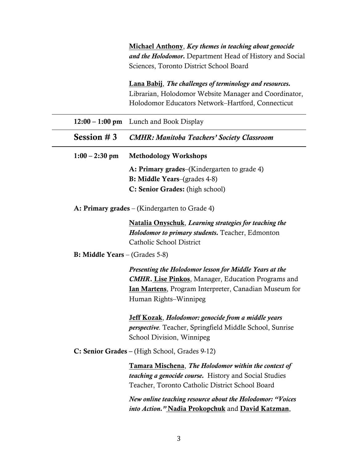Michael Anthony, *Key themes in teaching about genocide and the Holodomor.* Department Head of History and Social Sciences, Toronto District School Board

Lana Babij, *The challenges of terminology and resources.* Librarian, Holodomor Website Manager and Coordinator, Holodomor Educators Network–Hartford, Connecticut

|                                         | $12:00 - 1:00$ pm Lunch and Book Display                                                                                                                                                                       |  |  |  |  |  |
|-----------------------------------------|----------------------------------------------------------------------------------------------------------------------------------------------------------------------------------------------------------------|--|--|--|--|--|
| Session $# 3$                           | <b>CMHR: Manitoba Teachers' Society Classroom</b>                                                                                                                                                              |  |  |  |  |  |
| $1:00 - 2:30$ pm                        | <b>Methodology Workshops</b>                                                                                                                                                                                   |  |  |  |  |  |
|                                         | A: Primary grades–(Kindergarten to grade 4)                                                                                                                                                                    |  |  |  |  |  |
|                                         | <b>B: Middle Years–(grades 4-8)</b>                                                                                                                                                                            |  |  |  |  |  |
|                                         | C: Senior Grades: (high school)                                                                                                                                                                                |  |  |  |  |  |
|                                         | A: Primary grades – (Kindergarten to Grade 4)                                                                                                                                                                  |  |  |  |  |  |
|                                         | <b>Natalia Onyschuk, Learning strategies for teaching the</b><br>Holodomor to primary students. Teacher, Edmonton<br>Catholic School District                                                                  |  |  |  |  |  |
| <b>B:</b> Middle Years $-$ (Grades 5-8) |                                                                                                                                                                                                                |  |  |  |  |  |
|                                         | Presenting the Holodomor lesson for Middle Years at the<br><b>CMHR. Lise Pinkos, Manager, Education Programs and</b><br><b>Ian Martens</b> , Program Interpreter, Canadian Museum for<br>Human Rights-Winnipeg |  |  |  |  |  |
|                                         | Jeff Kozak, Holodomor: genocide from a middle years<br>perspective. Teacher, Springfield Middle School, Sunrise<br>School Division, Winnipeg                                                                   |  |  |  |  |  |
|                                         | C: Senior Grades - (High School, Grades 9-12)                                                                                                                                                                  |  |  |  |  |  |
|                                         | Tamara Mischena, The Holodomor within the context of<br>teaching a genocide course. History and Social Studies<br>Teacher, Toronto Catholic District School Board                                              |  |  |  |  |  |
|                                         | New online teaching resource about the Holodomor: "Voices<br>into Action." Nadia Prokopchuk and David Katzman,                                                                                                 |  |  |  |  |  |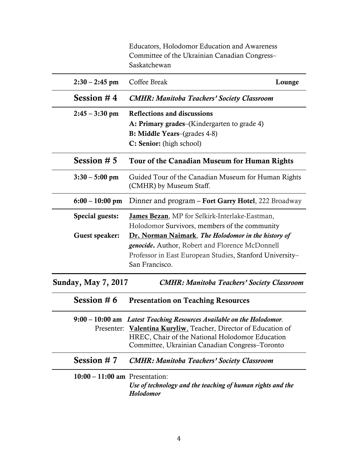| $10:00 - 11:00$ am Presentation: | Use of technology and the teaching of human rights and the<br>Holodomor                                                                                                                                                                       |  |  |  |  |
|----------------------------------|-----------------------------------------------------------------------------------------------------------------------------------------------------------------------------------------------------------------------------------------------|--|--|--|--|
| Session $# 7$                    | <b>CMHR: Manitoba Teachers' Society Classroom</b>                                                                                                                                                                                             |  |  |  |  |
|                                  | 9:00 – 10:00 am Latest Teaching Resources Available on the Holodomor.<br>Presenter: Valentina Kuryliw, Teacher, Director of Education of<br>HREC, Chair of the National Holodomor Education<br>Committee, Ukrainian Canadian Congress–Toronto |  |  |  |  |
| Session #6                       | <b>Presentation on Teaching Resources</b>                                                                                                                                                                                                     |  |  |  |  |
| <b>Sunday, May 7, 2017</b>       | <b>CMHR: Manitoba Teachers' Society Classroom</b>                                                                                                                                                                                             |  |  |  |  |
|                                  | Professor in East European Studies, Stanford University-<br>San Francisco.                                                                                                                                                                    |  |  |  |  |
|                                  | <i>genocide</i> . Author, Robert and Florence McDonnell                                                                                                                                                                                       |  |  |  |  |
| Guest speaker:                   | Dr. Norman Naimark, The Holodomor in the history of                                                                                                                                                                                           |  |  |  |  |
| Special guests:                  | <b>James Bezan</b> , MP for Selkirk-Interlake-Eastman,<br>Holodomor Survivors, members of the community                                                                                                                                       |  |  |  |  |
| $6:00 - 10:00$ pm                | Dinner and program - Fort Garry Hotel, 222 Broadway                                                                                                                                                                                           |  |  |  |  |
| $3:30 - 5:00$ pm                 | Guided Tour of the Canadian Museum for Human Rights<br>(CMHR) by Museum Staff.                                                                                                                                                                |  |  |  |  |
| Session $# 5$                    | Tour of the Canadian Museum for Human Rights                                                                                                                                                                                                  |  |  |  |  |
|                                  | <b>B: Middle Years–(grades 4-8)</b><br>C: Senior: (high school)                                                                                                                                                                               |  |  |  |  |
|                                  | A: Primary grades–(Kindergarten to grade 4)                                                                                                                                                                                                   |  |  |  |  |
| $2:45 - 3:30$ pm                 | <b>Reflections and discussions</b>                                                                                                                                                                                                            |  |  |  |  |
| Session $#4$                     | <b>CMHR: Manitoba Teachers' Society Classroom</b>                                                                                                                                                                                             |  |  |  |  |
| $2:30 - 2:45$ pm                 | Coffee Break<br>Lounge                                                                                                                                                                                                                        |  |  |  |  |
|                                  | Educators, Holodomor Education and Awareness<br>Committee of the Ukrainian Canadian Congress-<br>Saskatchewan                                                                                                                                 |  |  |  |  |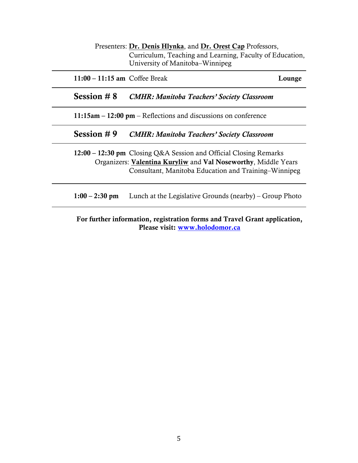| Presenters: Dr. Denis Hlynka, and Dr. Orest Cap Professors, |  |  |  |  |  |
|-------------------------------------------------------------|--|--|--|--|--|
| Curriculum, Teaching and Learning, Faculty of Education,    |  |  |  |  |  |
| University of Manitoba–Winnipeg                             |  |  |  |  |  |

11:00 – 11:15 am Coffee Break Lounge

Session # 8 *CMHR: Manitoba Teachers' Society Classroom*

11:15am – 12:00 pm – Reflections and discussions on conference

Session # 9 *CMHR: Manitoba Teachers' Society Classroom*

12:00 – 12:30 pm Closing Q&A Session and Official Closing Remarks Organizers: Valentina Kuryliw and Val Noseworthy, Middle Years Consultant, Manitoba Education and Training–Winnipeg

1:00 – 2:30 pm Lunch at the Legislative Grounds (nearby) – Group Photo

For further information, registration forms and Travel Grant application, Please visit: www.holodomor.ca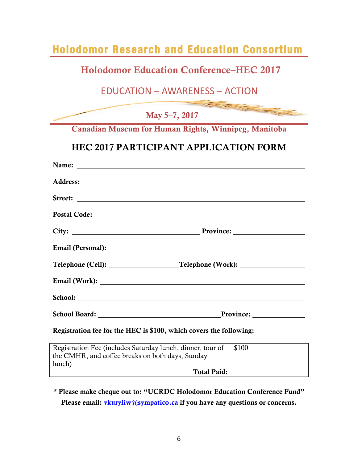| <b>Holodomor Research and Education Consortium</b>                                                                                                                                                                                   |                                                                                                                                                                                                                               |  |  |  |  |
|--------------------------------------------------------------------------------------------------------------------------------------------------------------------------------------------------------------------------------------|-------------------------------------------------------------------------------------------------------------------------------------------------------------------------------------------------------------------------------|--|--|--|--|
| <b>Holodomor Education Conference–HEC 2017</b>                                                                                                                                                                                       |                                                                                                                                                                                                                               |  |  |  |  |
| <b>EDUCATION - AWARENESS - ACTION</b>                                                                                                                                                                                                |                                                                                                                                                                                                                               |  |  |  |  |
| May 5-7, 2017                                                                                                                                                                                                                        | The Company of the Company of the Company of the Company of the Company of the Company of the Company of the Company of the Company of the Company of the Company of the Company of the Company of the Company of the Company |  |  |  |  |
| Canadian Museum for Human Rights, Winnipeg, Manitoba                                                                                                                                                                                 |                                                                                                                                                                                                                               |  |  |  |  |
| <b>HEC 2017 PARTICIPANT APPLICATION FORM</b>                                                                                                                                                                                         |                                                                                                                                                                                                                               |  |  |  |  |
| Name:<br><u> 1989 - Johann Harry Harry Harry Harry Harry Harry Harry Harry Harry Harry Harry Harry Harry Harry Harry Harry</u>                                                                                                       |                                                                                                                                                                                                                               |  |  |  |  |
|                                                                                                                                                                                                                                      |                                                                                                                                                                                                                               |  |  |  |  |
|                                                                                                                                                                                                                                      |                                                                                                                                                                                                                               |  |  |  |  |
|                                                                                                                                                                                                                                      |                                                                                                                                                                                                                               |  |  |  |  |
|                                                                                                                                                                                                                                      |                                                                                                                                                                                                                               |  |  |  |  |
|                                                                                                                                                                                                                                      |                                                                                                                                                                                                                               |  |  |  |  |
|                                                                                                                                                                                                                                      |                                                                                                                                                                                                                               |  |  |  |  |
| Email (Work): <u>contract and the contract of the contract of the contract of the contract of the contract of the contract of the contract of the contract of the contract of the contract of the contract of the contract of th</u> |                                                                                                                                                                                                                               |  |  |  |  |
| School:<br><u> 1989 - Johann Stoff, fransk politik (d. 1989)</u>                                                                                                                                                                     |                                                                                                                                                                                                                               |  |  |  |  |
| <b>School Board:</b>                                                                                                                                                                                                                 | Province:                                                                                                                                                                                                                     |  |  |  |  |
| Registration fee for the HEC is \$100, which covers the following:                                                                                                                                                                   |                                                                                                                                                                                                                               |  |  |  |  |
| Registration Fee (includes Saturday lunch, dinner, tour of<br>\$100<br>the CMHR, and coffee breaks on both days, Sunday<br>lunch)                                                                                                    |                                                                                                                                                                                                                               |  |  |  |  |
| <b>Total Paid:</b>                                                                                                                                                                                                                   |                                                                                                                                                                                                                               |  |  |  |  |
|                                                                                                                                                                                                                                      |                                                                                                                                                                                                                               |  |  |  |  |

\* Please make cheque out to: "UCRDC Holodomor Education Conference Fund" Please email: vkuryliw@sympatico.ca if you have any questions or concerns.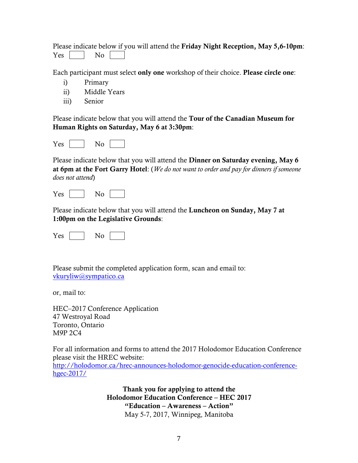|  |        |  |  |  | Please indicate below if you will attend the Friday Night Reception, May 5,6-10pm: |  |  |
|--|--------|--|--|--|------------------------------------------------------------------------------------|--|--|
|  | Yes No |  |  |  |                                                                                    |  |  |

Each participant must select only one workshop of their choice. Please circle one:

- i) Primary
- ii) Middle Years
- iii) Senior

Please indicate below that you will attend the Tour of the Canadian Museum for Human Rights on Saturday, May 6 at 3:30pm:

| $\sim$ |  |  |
|--------|--|--|
|--------|--|--|

Please indicate below that you will attend the Dinner on Saturday evening, May 6 at 6pm at the Fort Garry Hotel: (*We do not want to order and pay for dinners if someone does not attend*)

Please indicate below that you will attend the Luncheon on Sunday, May 7 at 1:00pm on the Legislative Grounds:

Please submit the completed application form, scan and email to: vkuryliw@sympatico.ca

or, mail to:

HEC–2017 Conference Application 47 Westroyal Road Toronto, Ontario M9P 2C4

For all information and forms to attend the 2017 Holodomor Education Conference please visit the HREC website: http://holodomor.ca/hrec-announces-holodomor-genocide-education-conferencehgec-2017/

> Thank you for applying to attend the Holodomor Education Conference – HEC 2017 "Education – Awareness – Action" May 5-7, 2017, Winnipeg, Manitoba